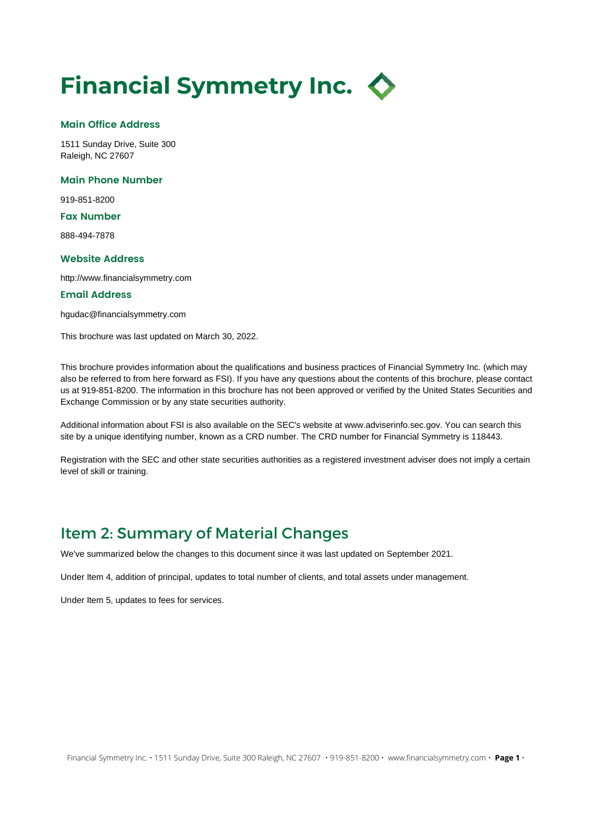## Financial Symmetry Inc.  $\Diamond$

#### Main Office Address

1511 Sunday Drive, Suite 300 Raleigh, NC 27607

#### Main Phone Number

919-851-8200

#### Fax Number

888-494-7878

#### Website Address

http://www.financialsymmetry.com

#### Email Address

hgudac@financialsymmetry.com

This brochure was last updated on March 30, 2022.

This brochure provides information about the qualifications and business practices of Financial Symmetry Inc. (which may also be referred to from here forward as FSI). If you have any questions about the contents of this brochure, please contact us at 919-851-8200. The information in this brochure has not been approved or verified by the United States Securities and Exchange Commission or by any state securities authority.

Additional information about FSI is also available on the SEC's website at www.adviserinfo.sec.gov. You can search this site by a unique identifying number, known as a CRD number. The CRD number for Financial Symmetry is 118443.

Registration with the SEC and other state securities authorities as a registered investment adviser does not imply a certain level of skill or training.

#### Item 2: Summary of Material Changes

We've summarized below the changes to this document since it was last updated on September 2021.

Under Item 4, addition of principal, updates to total number of clients, and total assets under management.

Under Item 5, updates to fees for services.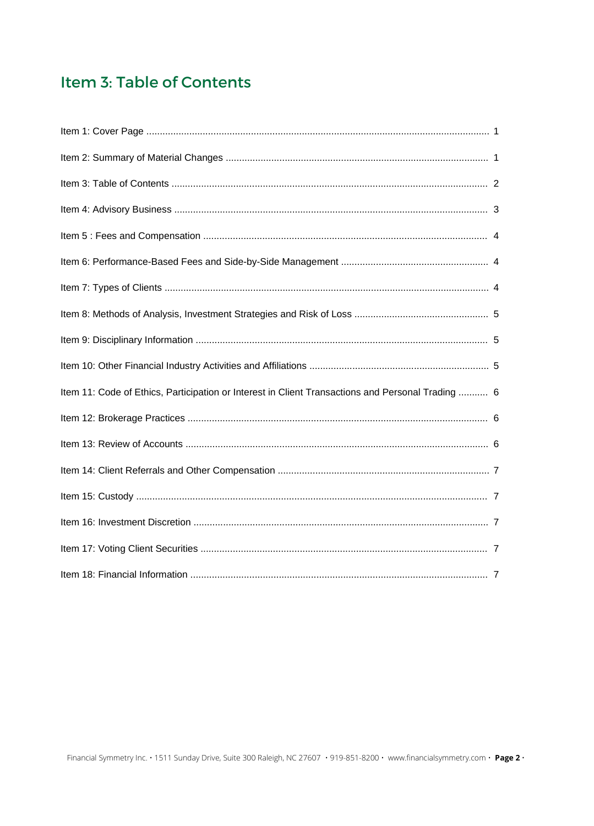### Item 3: Table of Contents

| Item 11: Code of Ethics, Participation or Interest in Client Transactions and Personal Trading  6 |  |
|---------------------------------------------------------------------------------------------------|--|
|                                                                                                   |  |
|                                                                                                   |  |
|                                                                                                   |  |
|                                                                                                   |  |
|                                                                                                   |  |
|                                                                                                   |  |
|                                                                                                   |  |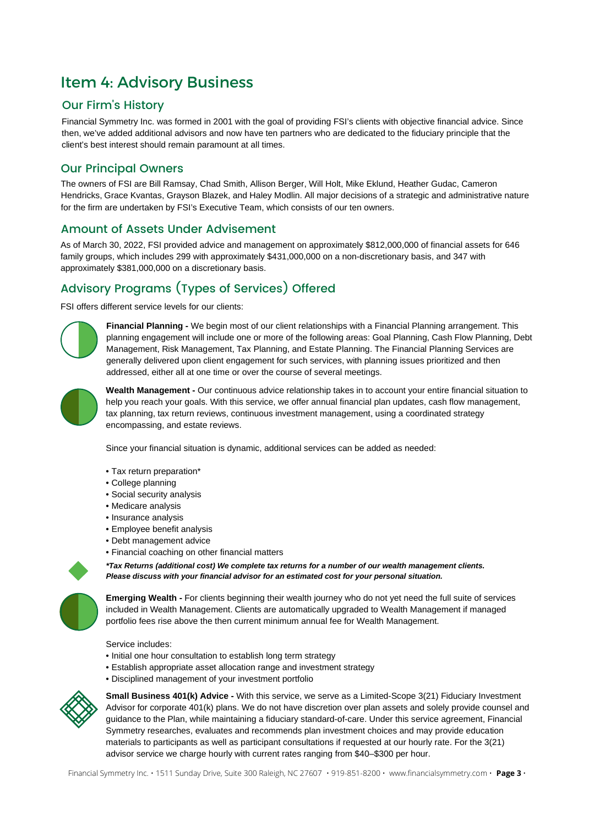### Item 4: Advisory Business

#### Our Firm's History

Financial Symmetry Inc. was formed in 2001 with the goal of providing FSI's clients with objective financial advice. Since then, we've added additional advisors and now have ten partners who are dedicated to the fiduciary principle that the client's best interest should remain paramount at all times.

#### Our Principal Owners

The owners of FSI are Bill Ramsay, Chad Smith, Allison Berger, Will Holt, Mike Eklund, Heather Gudac, Cameron Hendricks, Grace Kvantas, Grayson Blazek, and Haley Modlin. All major decisions of a strategic and administrative nature for the firm are undertaken by FSI's Executive Team, which consists of our ten owners.

#### Amount of Assets Under Advisement

As of March 30, 2022, FSI provided advice and management on approximately \$812,000,000 of financial assets for 646 family groups, which includes 299 with approximately \$431,000,000 on a non-discretionary basis, and 347 with approximately \$381,000,000 on a discretionary basis.

#### Advisory Programs (Types of Services) Offered

FSI offers different service levels for our clients:



Financial Planning - We begin most of our client relationships with a Financial Planning arrangement. This planning engagement will include one or more of the following areas: Goal Planning, Cash Flow Planning, Debt Management, Risk Management, Tax Planning, and Estate Planning. The Financial Planning Services are generally delivered upon client engagement for such services, with planning issues prioritized and then addressed, either all at one time or over the course of several meetings.



Wealth Management - Our continuous advice relationship takes in to account your entire financial situation to help you reach your goals. With this service, we offer annual financial plan updates, cash flow management, tax planning, tax return reviews, continuous investment management, using a coordinated strategy encompassing, and estate reviews.

Since your financial situation is dynamic, additional services can be added as needed:

- Tax return preparation\*
- College planning
- Social security analysis
- Medicare analysis
- Insurance analysis
- Employee benefit analysis
- Debt management advice
- Financial coaching on other financial matters



\*Tax Returns (additional cost) We complete tax returns for a number of our wealth management clients. Please discuss with your financial advisor for an estimated cost for your personal situation.

Emerging Wealth - For clients beginning their wealth journey who do not yet need the full suite of services included in Wealth Management. Clients are automatically upgraded to Wealth Management if managed portfolio fees rise above the then current minimum annual fee for Wealth Management.

Service includes:

- Initial one hour consultation to establish long term strategy
- Establish appropriate asset allocation range and investment strategy
- Disciplined management of your investment portfolio



Small Business 401(k) Advice - With this service, we serve as a Limited-Scope 3(21) Fiduciary Investment Advisor for corporate 401(k) plans. We do not have discretion over plan assets and solely provide counsel and guidance to the Plan, while maintaining a fiduciary standard-of-care. Under this service agreement, Financial Symmetry researches, evaluates and recommends plan investment choices and may provide education materials to participants as well as participant consultations if requested at our hourly rate. For the 3(21) advisor service we charge hourly with current rates ranging from \$40–\$300 per hour.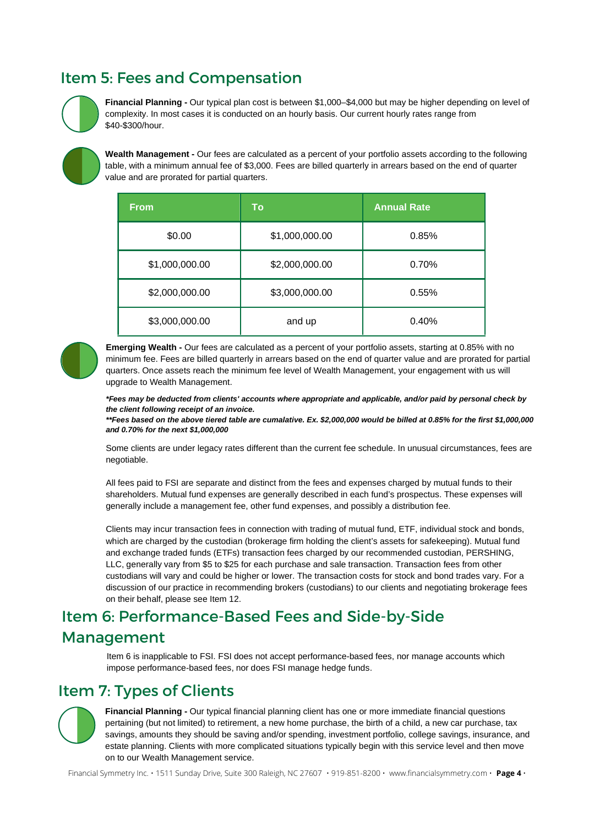### Item 5: Fees and Compensation



Financial Planning - Our typical plan cost is between \$1,000–\$4,000 but may be higher depending on level of complexity. In most cases it is conducted on an hourly basis. Our current hourly rates range from \$40-\$300/hour.

Wealth Management - Our fees are calculated as a percent of your portfolio assets according to the following table, with a minimum annual fee of \$3,000. Fees are billed quarterly in arrears based on the end of quarter value and are prorated for partial quarters.

| <b>From</b>    | <b>To</b>      | <b>Annual Rate</b> |
|----------------|----------------|--------------------|
| \$0.00         | \$1,000,000.00 | 0.85%              |
| \$1,000,000.00 | \$2,000,000.00 | 0.70%              |
| \$2,000,000.00 | \$3,000,000.00 | 0.55%              |
| \$3,000,000.00 | and up         | 0.40%              |



Emerging Wealth - Our fees are calculated as a percent of your portfolio assets, starting at 0.85% with no minimum fee. Fees are billed quarterly in arrears based on the end of quarter value and are prorated for partial quarters. Once assets reach the minimum fee level of Wealth Management, your engagement with us will upgrade to Wealth Management.

\*Fees may be deducted from clients' accounts where appropriate and applicable, and/or paid by personal check by the client following receipt of an invoice.

\*\*Fees based on the above tiered table are cumalative. Ex. \$2,000,000 would be billed at 0.85% for the first \$1,000,000 and 0.70% for the next \$1,000,000

Some clients are under legacy rates different than the current fee schedule. In unusual circumstances, fees are negotiable.

All fees paid to FSI are separate and distinct from the fees and expenses charged by mutual funds to their shareholders. Mutual fund expenses are generally described in each fund's prospectus. These expenses will generally include a management fee, other fund expenses, and possibly a distribution fee.

Clients may incur transaction fees in connection with trading of mutual fund, ETF, individual stock and bonds, which are charged by the custodian (brokerage firm holding the client's assets for safekeeping). Mutual fund and exchange traded funds (ETFs) transaction fees charged by our recommended custodian, PERSHING, LLC, generally vary from \$5 to \$25 for each purchase and sale transaction. Transaction fees from other custodians will vary and could be higher or lower. The transaction costs for stock and bond trades vary. For a discussion of our practice in recommending brokers (custodians) to our clients and negotiating brokerage fees on their behalf, please see Item 12.

## Item 6: Performance-Based Fees and Side-by-Side

#### Management

Item 6 is inapplicable to FSI. FSI does not accept performance-based fees, nor manage accounts which impose performance-based fees, nor does FSI manage hedge funds.

### Item 7: Types of Clients

Financial Planning - Our typical financial planning client has one or more immediate financial questions pertaining (but not limited) to retirement, a new home purchase, the birth of a child, a new car purchase, tax savings, amounts they should be saving and/or spending, investment portfolio, college savings, insurance, and estate planning. Clients with more complicated situations typically begin with this service level and then move on to our Wealth Management service.

Financial Symmetry Inc. • 1511 Sunday Drive, Suite 300 Raleigh, NC 27607 • 919-851-8200 • www.financialsymmetry.com • Page 4 •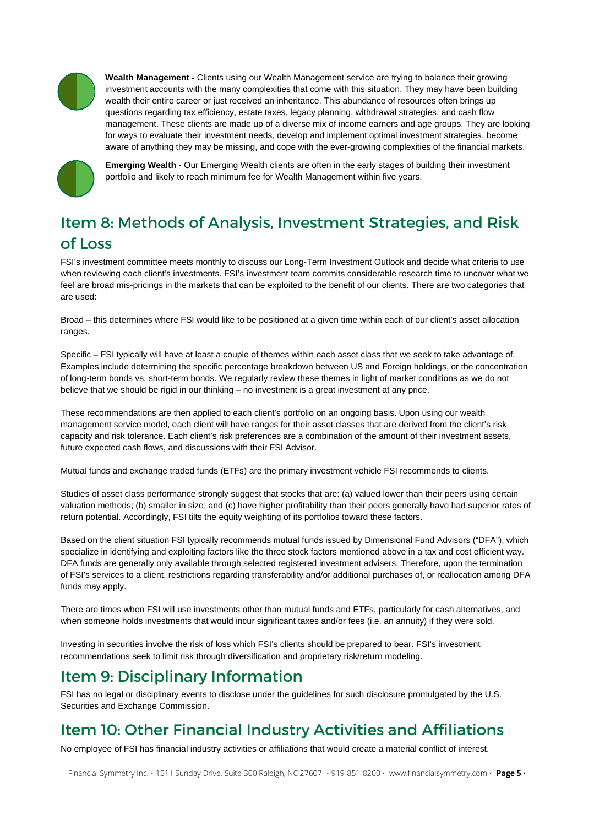

Wealth Management - Clients using our Wealth Management service are trying to balance their growing investment accounts with the many complexities that come with this situation. They may have been building wealth their entire career or just received an inheritance. This abundance of resources often brings up questions regarding tax efficiency, estate taxes, legacy planning, withdrawal strategies, and cash flow management. These clients are made up of a diverse mix of income earners and age groups. They are looking for ways to evaluate their investment needs, develop and implement optimal investment strategies, become aware of anything they may be missing, and cope with the ever-growing complexities of the financial markets.



Emerging Wealth - Our Emerging Wealth clients are often in the early stages of building their investment portfolio and likely to reach minimum fee for Wealth Management within five years.

### Item 8: Methods of Analysis, Investment Strategies, and Risk of Loss

FSI's investment committee meets monthly to discuss our Long-Term Investment Outlook and decide what criteria to use when reviewing each client's investments. FSI's investment team commits considerable research time to uncover what we feel are broad mis-pricings in the markets that can be exploited to the benefit of our clients. There are two categories that are used:

Broad – this determines where FSI would like to be positioned at a given time within each of our client's asset allocation ranges.

Specific – FSI typically will have at least a couple of themes within each asset class that we seek to take advantage of. Examples include determining the specific percentage breakdown between US and Foreign holdings, or the concentration of long-term bonds vs. short-term bonds. We regularly review these themes in light of market conditions as we do not believe that we should be rigid in our thinking – no investment is a great investment at any price.

These recommendations are then applied to each client's portfolio on an ongoing basis. Upon using our wealth management service model, each client will have ranges for their asset classes that are derived from the client's risk capacity and risk tolerance. Each client's risk preferences are a combination of the amount of their investment assets, future expected cash flows, and discussions with their FSI Advisor.

Mutual funds and exchange traded funds (ETFs) are the primary investment vehicle FSI recommends to clients.

Studies of asset class performance strongly suggest that stocks that are: (a) valued lower than their peers using certain valuation methods; (b) smaller in size; and (c) have higher profitability than their peers generally have had superior rates of return potential. Accordingly, FSI tilts the equity weighting of its portfolios toward these factors.

Based on the client situation FSI typically recommends mutual funds issued by Dimensional Fund Advisors ("DFA"), which specialize in identifying and exploiting factors like the three stock factors mentioned above in a tax and cost efficient way. DFA funds are generally only available through selected registered investment advisers. Therefore, upon the termination of FSI's services to a client, restrictions regarding transferability and/or additional purchases of, or reallocation among DFA funds may apply.

There are times when FSI will use investments other than mutual funds and ETFs, particularly for cash alternatives, and when someone holds investments that would incur significant taxes and/or fees (i.e. an annuity) if they were sold.

Investing in securities involve the risk of loss which FSI's clients should be prepared to bear. FSI's investment recommendations seek to limit risk through diversification and proprietary risk/return modeling.

### Item 9: Disciplinary Information

FSI has no legal or disciplinary events to disclose under the guidelines for such disclosure promulgated by the U.S. Securities and Exchange Commission.

### Item 10: Other Financial Industry Activities and Affiliations

No employee of FSI has financial industry activities or affiliations that would create a material conflict of interest.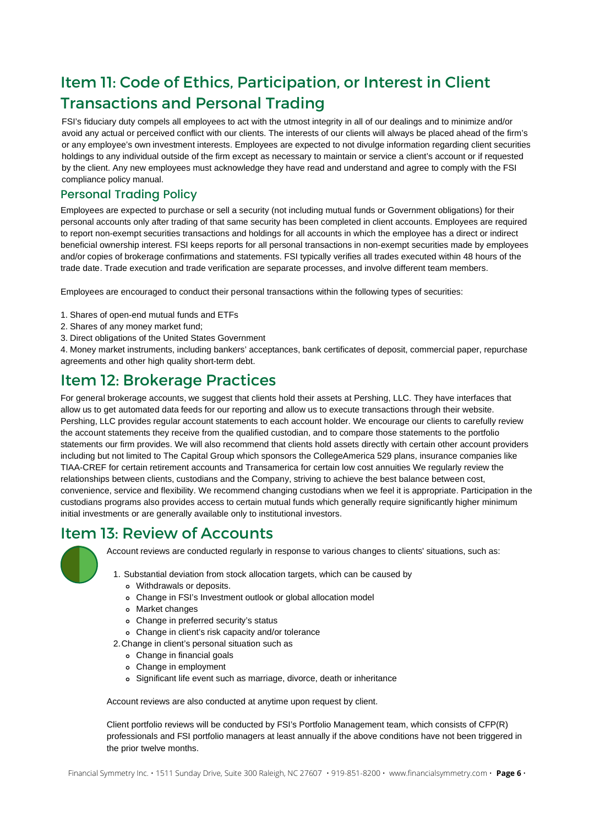### Item 11: Code of Ethics, Participation, or Interest in Client Transactions and Personal Trading

FSI's fiduciary duty compels all employees to act with the utmost integrity in all of our dealings and to minimize and/or avoid any actual or perceived conflict with our clients. The interests of our clients will always be placed ahead of the firm's or any employee's own investment interests. Employees are expected to not divulge information regarding client securities holdings to any individual outside of the firm except as necessary to maintain or service a client's account or if requested by the client. Any new employees must acknowledge they have read and understand and agree to comply with the FSI compliance policy manual.

#### Personal Trading Policy

Employees are expected to purchase or sell a security (not including mutual funds or Government obligations) for their personal accounts only after trading of that same security has been completed in client accounts. Employees are required to report non-exempt securities transactions and holdings for all accounts in which the employee has a direct or indirect beneficial ownership interest. FSI keeps reports for all personal transactions in non-exempt securities made by employees and/or copies of brokerage confirmations and statements. FSI typically verifies all trades executed within 48 hours of the trade date. Trade execution and trade verification are separate processes, and involve different team members.

Employees are encouraged to conduct their personal transactions within the following types of securities:

- 1. Shares of open-end mutual funds and ETFs
- 2. Shares of any money market fund;
- 3. Direct obligations of the United States Government

4. Money market instruments, including bankers' acceptances, bank certificates of deposit, commercial paper, repurchase agreements and other high quality short-term debt.

#### Item 12: Brokerage Practices

For general brokerage accounts, we suggest that clients hold their assets at Pershing, LLC. They have interfaces that allow us to get automated data feeds for our reporting and allow us to execute transactions through their website. Pershing, LLC provides regular account statements to each account holder. We encourage our clients to carefully review the account statements they receive from the qualified custodian, and to compare those statements to the portfolio statements our firm provides. We will also recommend that clients hold assets directly with certain other account providers including but not limited to The Capital Group which sponsors the CollegeAmerica 529 plans, insurance companies like TIAA-CREF for certain retirement accounts and Transamerica for certain low cost annuities We regularly review the relationships between clients, custodians and the Company, striving to achieve the best balance between cost, convenience, service and flexibility. We recommend changing custodians when we feel it is appropriate. Participation in the custodians programs also provides access to certain mutual funds which generally require significantly higher minimum initial investments or are generally available only to institutional investors.

#### Item 13: Review of Accounts



Account reviews are conducted regularly in response to various changes to clients' situations, such as:

- 1. Substantial deviation from stock allocation targets, which can be caused by
	- Withdrawals or deposits.
	- Change in FSI's Investment outlook or global allocation model
	- Market changes
	- Change in preferred security's status
	- Change in client's risk capacity and/or tolerance
- Change in client's personal situation such as 2.
	- Change in financial goals
	- Change in employment
	- Significant life event such as marriage, divorce, death or inheritance

Account reviews are also conducted at anytime upon request by client.

Client portfolio reviews will be conducted by FSI's Portfolio Management team, which consists of CFP(R) professionals and FSI portfolio managers at least annually if the above conditions have not been triggered in the prior twelve months.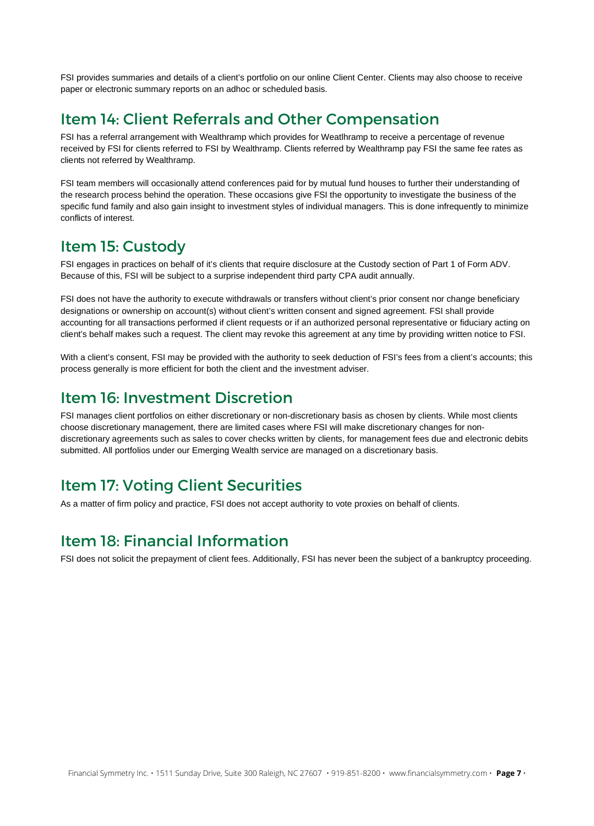FSI provides summaries and details of a client's portfolio on our online Client Center. Clients may also choose to receive paper or electronic summary reports on an adhoc or scheduled basis.

#### Item 14: Client Referrals and Other Compensation

FSI has a referral arrangement with Wealthramp which provides for Weatlhramp to receive a percentage of revenue received by FSI for clients referred to FSI by Wealthramp. Clients referred by Wealthramp pay FSI the same fee rates as clients not referred by Wealthramp.

FSI team members will occasionally attend conferences paid for by mutual fund houses to further their understanding of the research process behind the operation. These occasions give FSI the opportunity to investigate the business of the specific fund family and also gain insight to investment styles of individual managers. This is done infrequently to minimize conflicts of interest.

#### Item 15: Custody

FSI engages in practices on behalf of it's clients that require disclosure at the Custody section of Part 1 of Form ADV. Because of this, FSI will be subject to a surprise independent third party CPA audit annually.

FSI does not have the authority to execute withdrawals or transfers without client's prior consent nor change beneficiary designations or ownership on account(s) without client's written consent and signed agreement. FSI shall provide accounting for all transactions performed if client requests or if an authorized personal representative or fiduciary acting on client's behalf makes such a request. The client may revoke this agreement at any time by providing written notice to FSI.

With a client's consent, FSI may be provided with the authority to seek deduction of FSI's fees from a client's accounts; this process generally is more efficient for both the client and the investment adviser.

#### Item 16: Investment Discretion

FSI manages client portfolios on either discretionary or non-discretionary basis as chosen by clients. While most clients choose discretionary management, there are limited cases where FSI will make discretionary changes for nondiscretionary agreements such as sales to cover checks written by clients, for management fees due and electronic debits submitted. All portfolios under our Emerging Wealth service are managed on a discretionary basis.

### Item 17: Voting Client Securities

As a matter of firm policy and practice, FSI does not accept authority to vote proxies on behalf of clients.

### Item 18: Financial Information

FSI does not solicit the prepayment of client fees. Additionally, FSI has never been the subject of a bankruptcy proceeding.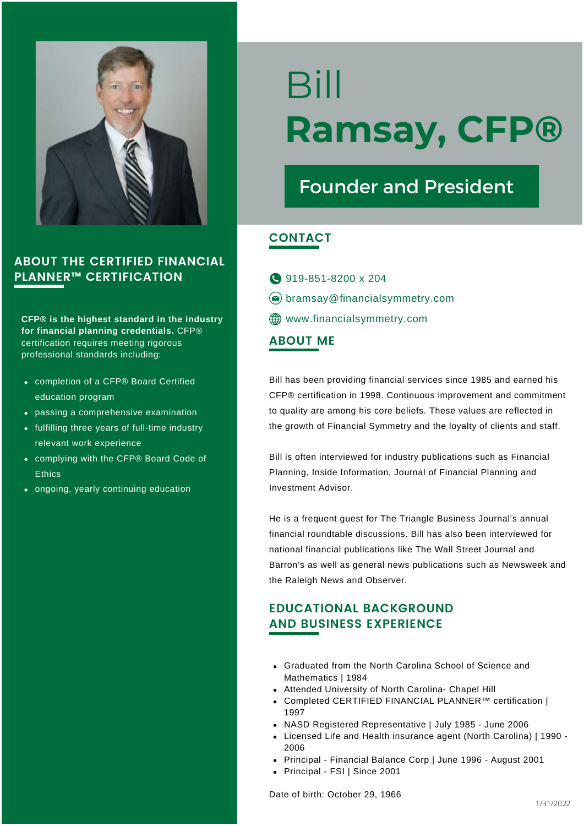

CFP® is the highest standard in the industry for financial planning credentials. CFP® certification requires meeting rigorous professional standards including:

- completion of a CFP® Board Certified education program
- passing a comprehensive examination
- fulfilling three years of full-time industry relevant work experience
- complying with the CFP® Board Code of **Ethics**
- ongoing, yearly continuing education

# Bill Ramsay, CFP®

## Founder and President

#### **CONTACT**

ABOUT ME 919-851-8200 x 204  $\circledcirc$  bramsay@financialsymmetry.com **ED** www.financialsymmetry.com

Bill has been providing financial services since 1985 and earned his CFP® certification in 1998. Continuous improvement and commitment to quality are among his core beliefs. These values are reflected in the growth of Financial Symmetry and the loyalty of clients and staff.

Bill is often interviewed for industry publications such as Financial Planning, Inside Information, Journal of Financial Planning and Investment Advisor.

He is a frequent guest for The Triangle Business Journal's annual financial roundtable discussions. Bill has also been interviewed for national financial publications like The Wall Street Journal and Barron's as well as general news publications such as Newsweek and the Raleigh News and Observer.

#### EDUCATIONAL BACKGROUND AND BUSINESS EXPERIENCE

- Graduated from the North Carolina School of Science and Mathematics | 1984
- Attended University of North Carolina- Chapel Hill
- Completed CERTIFIED FINANCIAL PLANNER™ certification | 1997
- NASD Registered Representative | July 1985 June 2006
- Licensed Life and Health insurance agent (North Carolina) | 1990 2006
- Principal Financial Balance Corp | June 1996 August 2001
- Principal FSI | Since 2001

Date of birth: October 29, 1966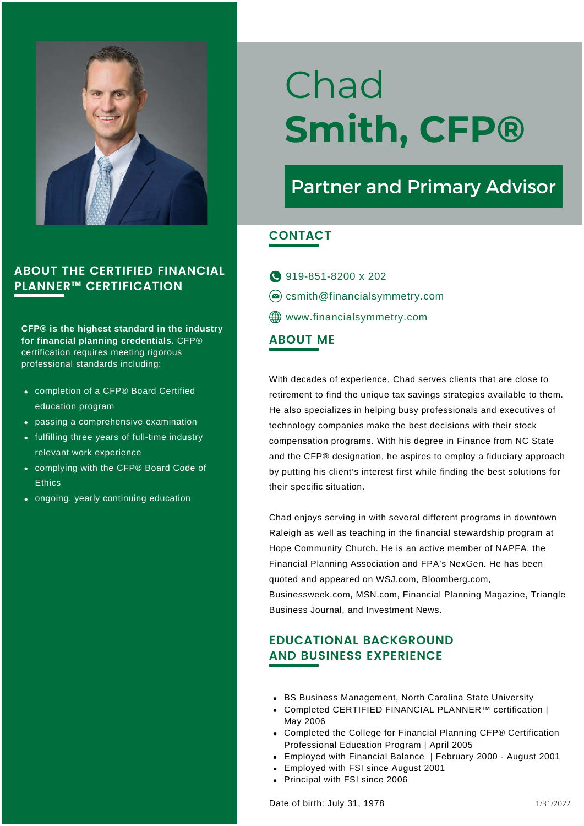

CFP® is the highest standard in the industry for financial planning credentials. CFP® certification requires meeting rigorous professional standards including:

- completion of a CFP® Board Certified education program
- passing a comprehensive examination
- fulfilling three years of full-time industry relevant work experience
- complying with the CFP® Board Code of **Ethics**
- ongoing, yearly continuing education

# Chad Smith, CFP®

## Partner and Primary Advisor

#### CONTACT

919-851-8200 x 202  $\circledcirc$  csmith@financialsymmetry.com **ED** www.financialsymmetry.com

#### ABOUT ME

With decades of experience, Chad serves clients that are close to retirement to find the unique tax savings strategies available to them. He also specializes in helping busy professionals and executives of technology companies make the best decisions with their stock compensation programs. With his degree in Finance from NC State and the CFP® designation, he aspires to employ a fiduciary approach by putting his client's interest first while finding the best solutions for their specific situation.

Chad enjoys serving in with several different programs in downtown Raleigh as well as teaching in the financial stewardship program at Hope Community Church. He is an active member of NAPFA, the Financial Planning Association and FPA's NexGen. He has been quoted and appeared on WSJ.com, Bloomberg.com, Businessweek.com, MSN.com, Financial Planning Magazine, Triangle Business Journal, and Investment News.

#### EDUCATIONAL BACKGROUND AND BUSINESS EXPERIENCE

- BS Business Management, North Carolina State University
- Completed CERTIFIED FINANCIAL PLANNER™ certification | May 2006
- Completed the College for Financial Planning CFP® Certification Professional Education Program | April 2005
- Employed with Financial Balance | February 2000 August 2001
- Employed with FSI since August 2001
- Principal with FSI since 2006

Date of birth: July 31, 1978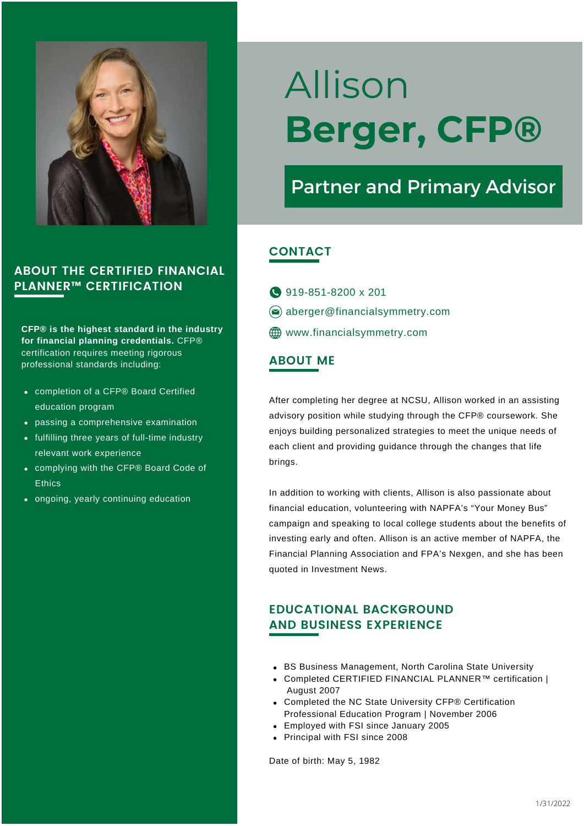

CFP® is the highest standard in the industry for financial planning credentials. CFP® certification requires meeting rigorous professional standards including: ABOUT ME

- completion of a CFP® Board Certified education program
- passing a comprehensive examination
- fulfilling three years of full-time industry relevant work experience
- complying with the CFP® Board Code of **Ethics**
- ongoing, yearly continuing education

# Allison Berger, CFP®

## Partner and Primary Advisor

#### **CONTACT**

- **919-851-8200 x 201**
- $\circledcirc$  aberger@financialsymmetry.com
- **ED** www.financialsymmetry.com

After completing her degree at NCSU, Allison worked in an assisting advisory position while studying through the CFP® coursework. She enjoys building personalized strategies to meet the unique needs of each client and providing guidance through the changes that life brings.

In addition to working with clients, Allison is also passionate about financial education, volunteering with NAPFA's "Your Money Bus" campaign and speaking to local college students about the benefits of investing early and often. Allison is an active member of NAPFA, the Financial Planning Association and FPA's Nexgen, and she has been quoted in Investment News.

#### EDUCATIONAL BACKGROUND AND BUSINESS EXPERIENCE

- BS Business Management, North Carolina State University
- Completed CERTIFIED FINANCIAL PLANNER™ certification | August 2007
- Completed the NC State University CFP® Certification Professional Education Program | November 2006
- Employed with FSI since January 2005
- Principal with FSI since 2008

Date of birth: May 5, 1982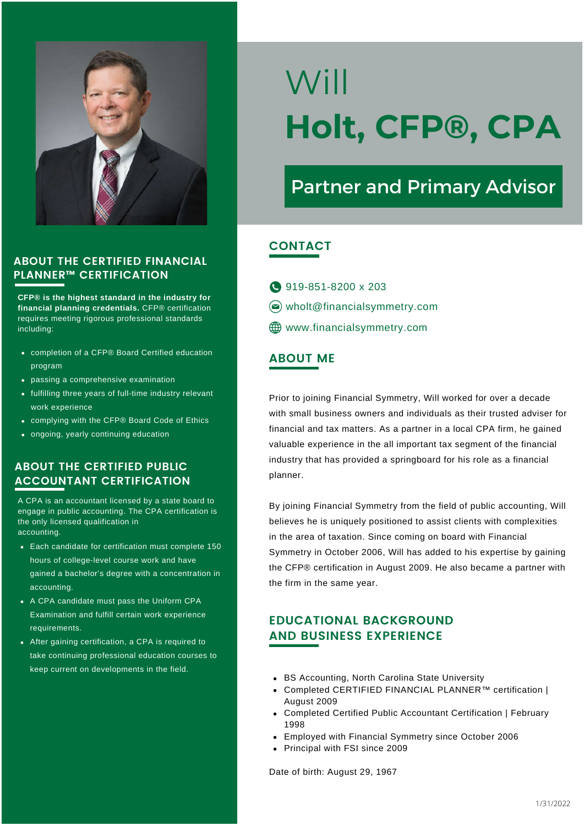

CFP® is the highest standard in the industry for financial planning credentials. CFP® certification requires meeting rigorous professional standards including:

- completion of a CFP® Board Certified education program
- passing a comprehensive examination
- fulfilling three years of full-time industry relevant work experience
- complying with the CFP® Board Code of Ethics
- ongoing, yearly continuing education

#### ABOUT THE CERTIFIED PUBLIC ACCOUNTANT CERTIFICATION

A CPA is an accountant licensed by a state board to engage in public accounting. The CPA certification is the only licensed qualification in accounting.

- Each candidate for certification must complete 150 hours of college-level course work and have gained a bachelor's degree with a concentration in accounting.
- A CPA candidate must pass the Uniform CPA Examination and fulfill certain work experience requirements.
- After gaining certification, a CPA is required to take continuing professional education courses to keep current on developments in the field.

# Will Holt, CFP®, CPA

## Partner and Primary Advisor

#### **CONTACT**

919-851-8200 x 203 wholt@financialsymmetry.com **ED** www.financialsymmetry.com

#### ABOUT ME

Prior to joining Financial Symmetry, Will worked for over a decade with small business owners and individuals as their trusted adviser for financial and tax matters. As a partner in a local CPA firm, he gained valuable experience in the all important tax segment of the financial industry that has provided a springboard for his role as a financial planner.

By joining Financial Symmetry from the field of public accounting, Will believes he is uniquely positioned to assist clients with complexities in the area of taxation. Since coming on board with Financial Symmetry in October 2006, Will has added to his expertise by gaining the CFP® certification in August 2009. He also became a partner with the firm in the same year.

#### EDUCATIONAL BACKGROUND AND BUSINESS EXPERIENCE

- BS Accounting, North Carolina State University
- Completed CERTIFIED FINANCIAL PLANNER™ certification | August 2009
- Completed Certified Public Accountant Certification | February 1998
- Employed with Financial Symmetry since October 2006
- Principal with FSI since 2009

Date of birth: August 29, 1967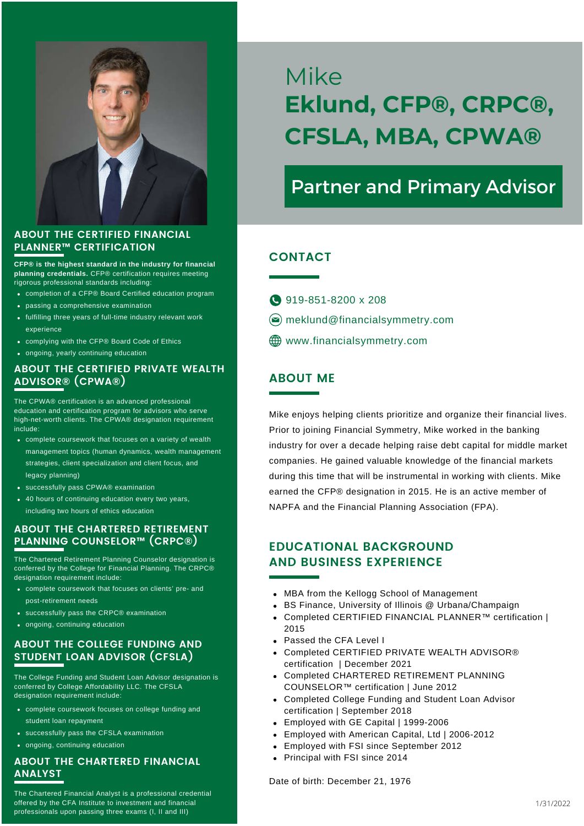

CFP® is the highest standard in the industry for financial planning credentials. CFP® certification requires meeting rigorous professional standards including:

- completion of a CFP® Board Certified education program
- passing a comprehensive examination
- fulfilling three years of full-time industry relevant work experience
- complying with the CFP® Board Code of Ethics
- ongoing, yearly continuing education

#### ABOUT THE CERTIFIED PRIVATE WEALTH ADVISOR® (CPWA®)

The CPWA® certification is an advanced professional education and certification program for advisors who serve high-net-worth clients. The CPWA® designation requirement include:

- complete coursework that focuses on a variety of wealth management topics (human dynamics, wealth management strategies, client specialization and client focus, and legacy planning)
- successfully pass CPWA® examination
- 40 hours of continuing education every two years, including two hours of ethics education

#### ABOUT THE CHARTERED RETIREMENT PLANNING COUNSELOR™ (CRPC®)

The Chartered Retirement Planning Counselor designation is conferred by the College for Financial Planning. The CRPC® designation requirement include

- complete coursework that focuses on clients' pre- and post-retirement needs
- successfully pass the CRPC® examination
- ongoing, continuing education

#### ABOUT THE COLLEGE FUNDING AND STUDENT LOAN ADVISOR (CFSLA)

The College Funding and Student Loan Advisor designation is conferred by College Affordability LLC. The CFSLA designation requirement include:

- complete coursework focuses on college funding and student loan repayment
- successfully pass the CFSLA examination
- ongoing, continuing education

#### ABOUT THE CHARTERED FINANCIAL ANALYST

The Chartered Financial Analyst is a professional credential offered by the CFA Institute to investment and financial professionals upon passing three exams (I, II and III)

## Mike Eklund, CFP®, CRPC®, CFSLA, MBA, CPWA®

### Partner and Primary Advisor

#### **CONTACT**

- 919-851-8200 x 208
- $\circledcirc$  meklund@financialsymmetry.com
- www.financialsymmetry.com

#### ABOUT ME

Mike enjoys helping clients prioritize and organize their financial lives. Prior to joining Financial Symmetry, Mike worked in the banking industry for over a decade helping raise debt capital for middle market companies. He gained valuable knowledge of the financial markets during this time that will be instrumental in working with clients. Mike earned the CFP® designation in 2015. He is an active member of NAPFA and the Financial Planning Association (FPA).

#### EDUCATIONAL BACKGROUND AND BUSINESS EXPERIENCE

- MBA from the Kellogg School of Management
- BS Finance, University of Illinois @ Urbana/Champaign
- Completed CERTIFIED FINANCIAL PLANNER™ certification | 2015
- Passed the CFA Level I
- Completed CERTIFIED PRIVATE WEALTH ADVISOR® certification | December 2021
- Completed CHARTERED RETIREMENT PLANNING COUNSELOR™ certification | June 2012
- Completed College Funding and Student Loan Advisor certification | September 2018
- Employed with GE Capital | 1999-2006
- Employed with American Capital, Ltd | 2006-2012
- Employed with FSI since September 2012
- Principal with FSI since 2014

Date of birth: December 21, 1976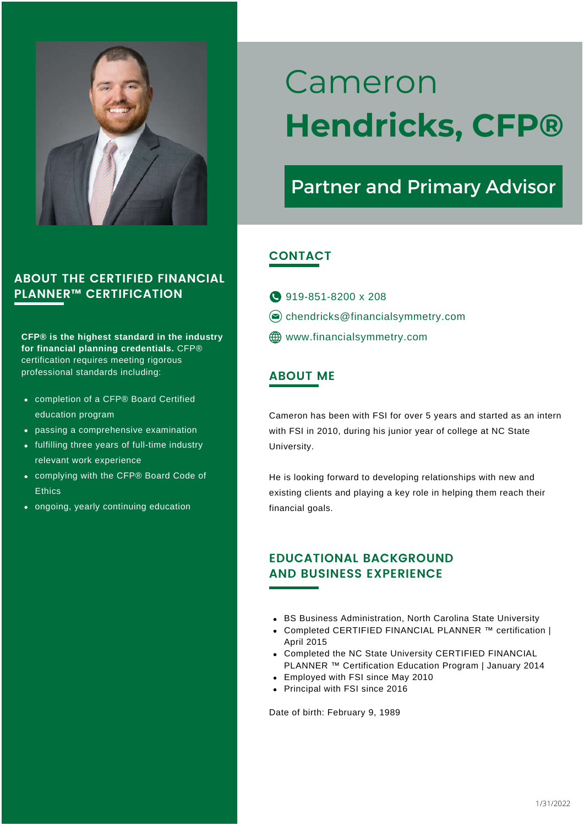

CFP® is the highest standard in the industry for financial planning credentials. CFP® certification requires meeting rigorous professional standards including: ABOUT ME

- completion of a CFP® Board Certified education program
- passing a comprehensive examination
- fulfilling three years of full-time industry relevant work experience
- complying with the CFP® Board Code of **Ethics**
- ongoing, yearly continuing education

## Cameron Hendricks, CFP®

## Partner and Primary Advisor

#### **CONTACT**

- 919-851-8200 x 208
- $\circledcirc$  chendricks@financialsymmetry.com
- **ED** www.financialsymmetry.com

Cameron has been with FSI for over 5 years and started as an intern with FSI in 2010, during his junior year of college at NC State University.

He is looking forward to developing relationships with new and existing clients and playing a key role in helping them reach their financial goals.

#### EDUCATIONAL BACKGROUND AND BUSINESS EXPERIENCE

- BS Business Administration, North Carolina State University
- Completed CERTIFIED FINANCIAL PLANNER ™ certification | April 2015
- Completed the NC State University CERTIFIED FINANCIAL PLANNER ™ Certification Education Program | January 2014
- Employed with FSI since May 2010
- Principal with FSI since 2016

Date of birth: February 9, 1989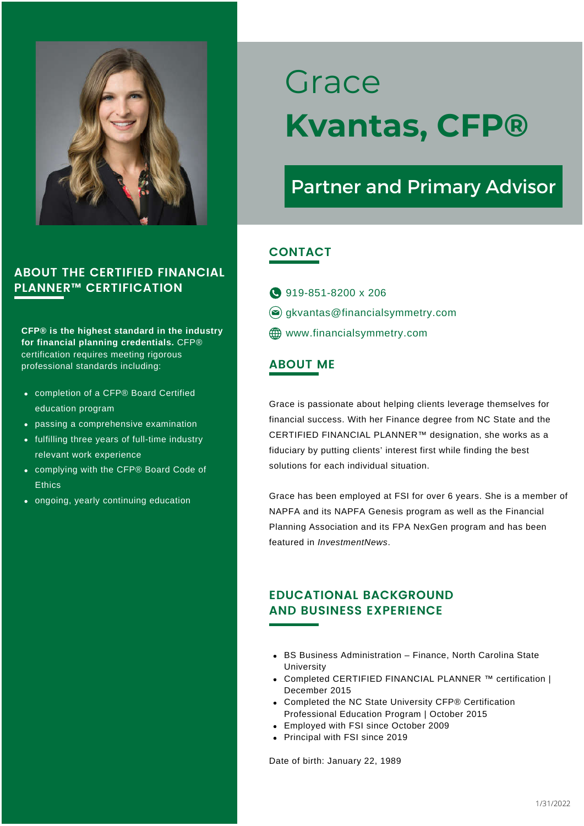

CFP® is the highest standard in the industry for financial planning credentials. CFP® certification requires meeting rigorous professional standards including:

- completion of a CFP® Board Certified education program
- passing a comprehensive examination
- fulfilling three years of full-time industry relevant work experience
- complying with the CFP® Board Code of **Ethics**
- ongoing, yearly continuing education

## Grace Kvantas, CFP®

## Partner and Primary Advisor

#### **CONTACT**

- 919-851-8200 x 206
- $\circledcirc$  gkvantas@financialsymmetry.com
- **ED** www.financialsymmetry.com

#### ABOUT ME

Grace is passionate about helping clients leverage themselves for financial success. With her Finance degree from NC State and the CERTIFIED FINANCIAL PLANNER™ designation, she works as a fiduciary by putting clients' interest first while finding the best solutions for each individual situation.

Grace has been employed at FSI for over 6 years. She is a member of NAPFA and its NAPFA Genesis program as well as the Financial Planning Association and its FPA NexGen program and has been featured in InvestmentNews.

#### EDUCATIONAL BACKGROUND AND BUSINESS EXPERIENCE

- BS Business Administration Finance, North Carolina State University
- Completed CERTIFIED FINANCIAL PLANNER ™ certification | December 2015
- Completed the NC State University CFP® Certification Professional Education Program | October 2015
- Employed with FSI since October 2009
- Principal with FSI since 2019

Date of birth: January 22, 1989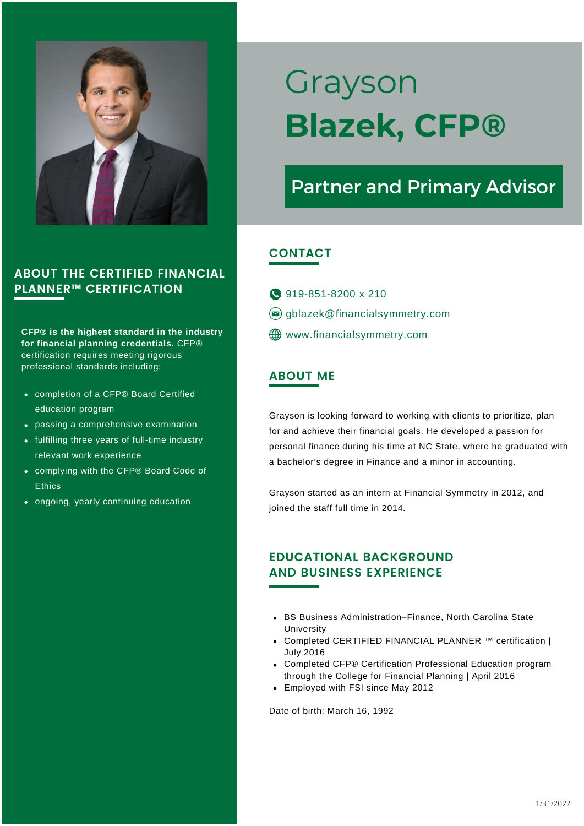

CFP® is the highest standard in the industry for financial planning credentials. CFP® certification requires meeting rigorous professional standards including:

- completion of a CFP® Board Certified education program
- passing a comprehensive examination
- fulfilling three years of full-time industry relevant work experience
- complying with the CFP® Board Code of **Ethics**
- ongoing, yearly continuing education

## Grayson Blazek, CFP®

## Partner and Primary Advisor

#### CONTACT

- 919-851-8200 x 210
- $\circledcirc$  gblazek@financialsymmetry.com
- **ED** www.financialsymmetry.com

#### ABOUT ME

Grayson is looking forward to working with clients to prioritize, plan for and achieve their financial goals. He developed a passion for personal finance during his time at NC State, where he graduated with a bachelor's degree in Finance and a minor in accounting.

Grayson started as an intern at Financial Symmetry in 2012, and joined the staff full time in 2014.

#### EDUCATIONAL BACKGROUND AND BUSINESS EXPERIENCE

- BS Business Administration–Finance, North Carolina State University
- Completed CERTIFIED FINANCIAL PLANNER ™ certification | July 2016
- Completed CFP® Certification Professional Education program through the College for Financial Planning | April 2016
- Employed with FSI since May 2012

Date of birth: March 16, 1992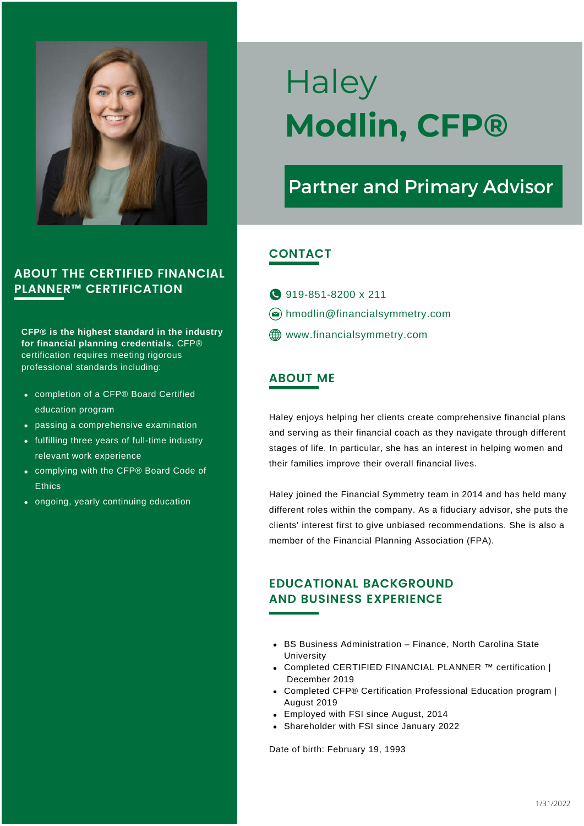

CFP® is the highest standard in the industry for financial planning credentials. CFP® certification requires meeting rigorous professional standards including:

- completion of a CFP® Board Certified education program
- passing a comprehensive examination
- fulfilling three years of full-time industry relevant work experience
- complying with the CFP® Board Code of **Ethics**
- ongoing, yearly continuing education

## **Haley** Modlin, CFP®

## Partner and Primary Advisor

#### **CONTACT**

- **919-851-8200 x 211**
- hmodlin@financialsymmetry.com
- **ED** www.financialsymmetry.com

#### ABOUT ME

Haley enjoys helping her clients create comprehensive financial plans and serving as their financial coach as they navigate through different stages of life. In particular, she has an interest in helping women and their families improve their overall financial lives.

Haley joined the Financial Symmetry team in 2014 and has held many different roles within the company. As a fiduciary advisor, she puts the clients' interest first to give unbiased recommendations. She is also a member of the Financial Planning Association (FPA).

#### EDUCATIONAL BACKGROUND AND BUSINESS EXPERIENCE

- BS Business Administration Finance, North Carolina State University
- Completed CERTIFIED FINANCIAL PLANNER ™ certification | December 2019
- Completed CFP® Certification Professional Education program | August 2019
- Employed with FSI since August, 2014
- Shareholder with FSI since January 2022

Date of birth: February 19, 1993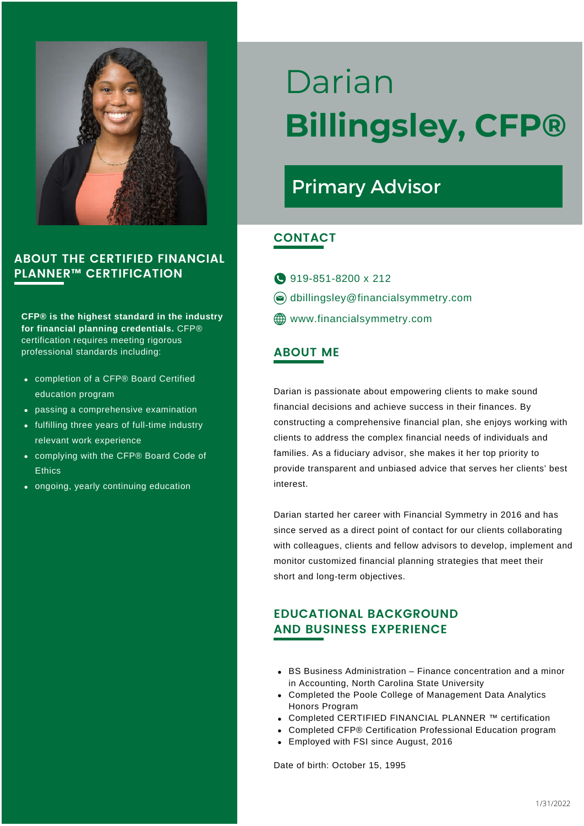

CFP® is the highest standard in the industry for financial planning credentials. CFP® certification requires meeting rigorous professional standards including: ABOUT ME

- completion of a CFP® Board Certified education program
- passing a comprehensive examination
- fulfilling three years of full-time industry relevant work experience
- complying with the CFP® Board Code of **Ethics**
- ongoing, yearly continuing education

## Darian Billingsley, CFP®

## Primary Advisor

#### CONTACT

- **919-851-8200 x 212**  $\circledcirc$  dbillingsley@financialsymmetry.com **WWW.financialsymmetry.com**
- 

Darian is passionate about empowering clients to make sound financial decisions and achieve success in their finances. By constructing a comprehensive financial plan, she enjoys working with clients to address the complex financial needs of individuals and families. As a fiduciary advisor, she makes it her top priority to provide transparent and unbiased advice that serves her clients' best interest.

Darian started her career with Financial Symmetry in 2016 and has since served as a direct point of contact for our clients collaborating with colleagues, clients and fellow advisors to develop, implement and monitor customized financial planning strategies that meet their short and long-term objectives.

#### EDUCATIONAL BACKGROUND AND BUSINESS EXPERIENCE

- BS Business Administration Finance concentration and a minor in Accounting, North Carolina State University
- Completed the Poole College of Management Data Analytics Honors Program
- Completed CERTIFIED FINANCIAL PLANNER ™ certification
- Completed CFP® Certification Professional Education program
- Employed with FSI since August, 2016

Date of birth: October 15, 1995